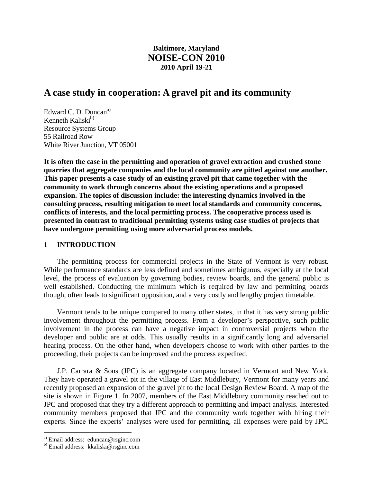## **Baltimore, Maryland NOISE-CON 2010 2010 April 19-21**

# **A case study in cooperation: A gravel pit and its community**

Edward C. D. Duncan<sup>a)</sup> Kenneth Kaliski $<sup>b</sup>$ </sup> Resource Systems Group 55 Railroad Row White River Junction, VT 05001

**It is often the case in the permitting and operation of gravel extraction and crushed stone quarries that aggregate companies and the local community are pitted against one another. This paper presents a case study of an existing gravel pit that came together with the community to work through concerns about the existing operations and a proposed expansion. The topics of discussion include: the interesting dynamics involved in the consulting process, resulting mitigation to meet local standards and community concerns, conflicts of interests, and the local permitting process. The cooperative process used is presented in contrast to traditional permitting systems using case studies of projects that have undergone permitting using more adversarial process models.**

## **1 INTRODUCTION**

The permitting process for commercial projects in the State of Vermont is very robust. While performance standards are less defined and sometimes ambiguous, especially at the local level, the process of evaluation by governing bodies, review boards, and the general public is well established. Conducting the minimum which is required by law and permitting boards though, often leads to significant opposition, and a very costly and lengthy project timetable.

Vermont tends to be unique compared to many other states, in that it has very strong public involvement throughout the permitting process. From a developer's perspective, such public involvement in the process can have a negative impact in controversial projects when the developer and public are at odds. This usually results in a significantly long and adversarial hearing process. On the other hand, when developers choose to work with other parties to the proceeding, their projects can be improved and the process expedited.

J.P. Carrara & Sons (JPC) is an aggregate company located in Vermont and New York. They have operated a gravel pit in the village of East Middlebury, Vermont for many years and recently proposed an expansion of the gravel pit to the local Design Review Board. A map of the site is shown in Figure 1. In 2007, members of the East Middlebury community reached out to JPC and proposed that they try a different approach to permitting and impact analysis. Interested community members proposed that JPC and the community work together with hiring their experts. Since the experts' analyses were used for permitting, all expenses were paid by JPC.

 $\overline{a}$ 

a) Email address: eduncan@rsginc.com

b) Email address: kkaliski@rsginc.com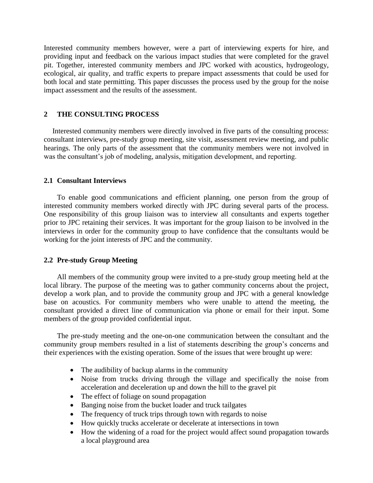Interested community members however, were a part of interviewing experts for hire, and providing input and feedback on the various impact studies that were completed for the gravel pit. Together, interested community members and JPC worked with acoustics, hydrogeology, ecological, air quality, and traffic experts to prepare impact assessments that could be used for both local and state permitting. This paper discusses the process used by the group for the noise impact assessment and the results of the assessment.

## **2 THE CONSULTING PROCESS**

Interested community members were directly involved in five parts of the consulting process: consultant interviews, pre-study group meeting, site visit, assessment review meeting, and public hearings. The only parts of the assessment that the community members were not involved in was the consultant's job of modeling, analysis, mitigation development, and reporting.

## **2.1 Consultant Interviews**

To enable good communications and efficient planning, one person from the group of interested community members worked directly with JPC during several parts of the process. One responsibility of this group liaison was to interview all consultants and experts together prior to JPC retaining their services. It was important for the group liaison to be involved in the interviews in order for the community group to have confidence that the consultants would be working for the joint interests of JPC and the community.

## **2.2 Pre-study Group Meeting**

All members of the community group were invited to a pre-study group meeting held at the local library. The purpose of the meeting was to gather community concerns about the project, develop a work plan, and to provide the community group and JPC with a general knowledge base on acoustics. For community members who were unable to attend the meeting, the consultant provided a direct line of communication via phone or email for their input. Some members of the group provided confidential input.

The pre-study meeting and the one-on-one communication between the consultant and the community group members resulted in a list of statements describing the group's concerns and their experiences with the existing operation. Some of the issues that were brought up were:

- The audibility of backup alarms in the community
- Noise from trucks driving through the village and specifically the noise from acceleration and deceleration up and down the hill to the gravel pit
- The effect of foliage on sound propagation
- Banging noise from the bucket loader and truck tailgates
- The frequency of truck trips through town with regards to noise
- How quickly trucks accelerate or decelerate at intersections in town
- How the widening of a road for the project would affect sound propagation towards a local playground area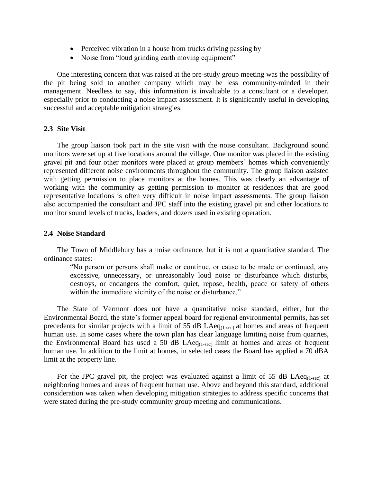- Perceived vibration in a house from trucks driving passing by
- Noise from "loud grinding earth moving equipment"

One interesting concern that was raised at the pre-study group meeting was the possibility of the pit being sold to another company which may be less community-minded in their management. Needless to say, this information is invaluable to a consultant or a developer, especially prior to conducting a noise impact assessment. It is significantly useful in developing successful and acceptable mitigation strategies.

#### **2.3 Site Visit**

The group liaison took part in the site visit with the noise consultant. Background sound monitors were set up at five locations around the village. One monitor was placed in the existing gravel pit and four other monitors were placed at group members' homes which conveniently represented different noise environments throughout the community. The group liaison assisted with getting permission to place monitors at the homes. This was clearly an advantage of working with the community as getting permission to monitor at residences that are good representative locations is often very difficult in noise impact assessments. The group liaison also accompanied the consultant and JPC staff into the existing gravel pit and other locations to monitor sound levels of trucks, loaders, and dozers used in existing operation.

#### **2.4 Noise Standard**

The Town of Middlebury has a noise ordinance, but it is not a quantitative standard. The ordinance states:

"No person or persons shall make or continue, or cause to be made or continued, any excessive, unnecessary, or unreasonably loud noise or disturbance which disturbs, destroys, or endangers the comfort, quiet, repose, health, peace or safety of others within the immediate vicinity of the noise or disturbance."

The State of Vermont does not have a quantitative noise standard, either, but the Environmental Board, the state's former appeal board for regional environmental permits, has set precedents for similar projects with a limit of 55 dB LAe $q_{(1\text{sec})}$  at homes and areas of frequent human use. In some cases where the town plan has clear language limiting noise from quarries, the Environmental Board has used a 50 dB  $\text{LAeq}_{(1\text{-sec})}$  limit at homes and areas of frequent human use. In addition to the limit at homes, in selected cases the Board has applied a 70 dBA limit at the property line.

For the JPC gravel pit, the project was evaluated against a limit of 55 dB LAe $q_{(1-sec)}$  at neighboring homes and areas of frequent human use. Above and beyond this standard, additional consideration was taken when developing mitigation strategies to address specific concerns that were stated during the pre-study community group meeting and communications.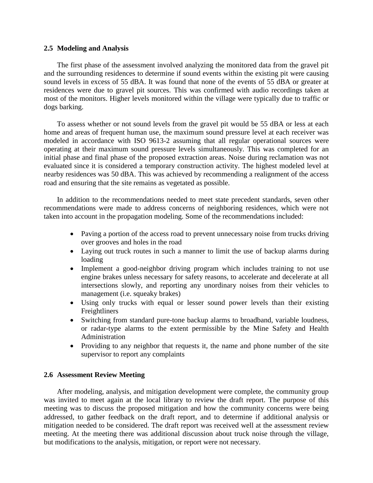### **2.5 Modeling and Analysis**

The first phase of the assessment involved analyzing the monitored data from the gravel pit and the surrounding residences to determine if sound events within the existing pit were causing sound levels in excess of 55 dBA. It was found that none of the events of 55 dBA or greater at residences were due to gravel pit sources. This was confirmed with audio recordings taken at most of the monitors. Higher levels monitored within the village were typically due to traffic or dogs barking.

To assess whether or not sound levels from the gravel pit would be 55 dBA or less at each home and areas of frequent human use, the maximum sound pressure level at each receiver was modeled in accordance with ISO 9613-2 assuming that all regular operational sources were operating at their maximum sound pressure levels simultaneously. This was completed for an initial phase and final phase of the proposed extraction areas. Noise during reclamation was not evaluated since it is considered a temporary construction activity. The highest modeled level at nearby residences was 50 dBA. This was achieved by recommending a realignment of the access road and ensuring that the site remains as vegetated as possible.

In addition to the recommendations needed to meet state precedent standards, seven other recommendations were made to address concerns of neighboring residences, which were not taken into account in the propagation modeling. Some of the recommendations included:

- Paving a portion of the access road to prevent unnecessary noise from trucks driving over grooves and holes in the road
- Laying out truck routes in such a manner to limit the use of backup alarms during loading
- Implement a good-neighbor driving program which includes training to not use engine brakes unless necessary for safety reasons, to accelerate and decelerate at all intersections slowly, and reporting any unordinary noises from their vehicles to management (i.e. squeaky brakes)
- Using only trucks with equal or lesser sound power levels than their existing Freightliners
- Switching from standard pure-tone backup alarms to broadband, variable loudness, or radar-type alarms to the extent permissible by the Mine Safety and Health Administration
- Providing to any neighbor that requests it, the name and phone number of the site supervisor to report any complaints

## **2.6 Assessment Review Meeting**

After modeling, analysis, and mitigation development were complete, the community group was invited to meet again at the local library to review the draft report. The purpose of this meeting was to discuss the proposed mitigation and how the community concerns were being addressed, to gather feedback on the draft report, and to determine if additional analysis or mitigation needed to be considered. The draft report was received well at the assessment review meeting. At the meeting there was additional discussion about truck noise through the village, but modifications to the analysis, mitigation, or report were not necessary.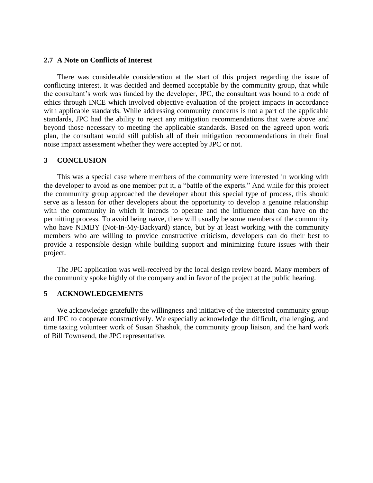## **2.7 A Note on Conflicts of Interest**

There was considerable consideration at the start of this project regarding the issue of conflicting interest. It was decided and deemed acceptable by the community group, that while the consultant's work was funded by the developer, JPC, the consultant was bound to a code of ethics through INCE which involved objective evaluation of the project impacts in accordance with applicable standards. While addressing community concerns is not a part of the applicable standards, JPC had the ability to reject any mitigation recommendations that were above and beyond those necessary to meeting the applicable standards. Based on the agreed upon work plan, the consultant would still publish all of their mitigation recommendations in their final noise impact assessment whether they were accepted by JPC or not.

#### **3 CONCLUSION**

This was a special case where members of the community were interested in working with the developer to avoid as one member put it, a "battle of the experts." And while for this project the community group approached the developer about this special type of process, this should serve as a lesson for other developers about the opportunity to develop a genuine relationship with the community in which it intends to operate and the influence that can have on the permitting process. To avoid being naïve, there will usually be some members of the community who have NIMBY (Not-In-My-Backyard) stance, but by at least working with the community members who are willing to provide constructive criticism, developers can do their best to provide a responsible design while building support and minimizing future issues with their project.

The JPC application was well-received by the local design review board. Many members of the community spoke highly of the company and in favor of the project at the public hearing.

#### **5 ACKNOWLEDGEMENTS**

We acknowledge gratefully the willingness and initiative of the interested community group and JPC to cooperate constructively. We especially acknowledge the difficult, challenging, and time taxing volunteer work of Susan Shashok, the community group liaison, and the hard work of Bill Townsend, the JPC representative.